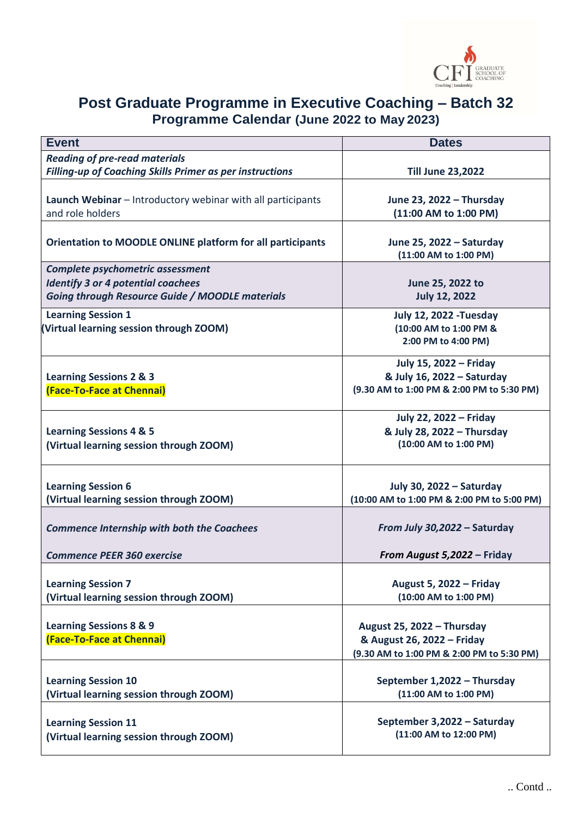

## **Post Graduate Programme in Executive Coaching – Batch 32 Programme Calendar (June 2022 to May 2023)**

| <b>Event</b>                                                                                        | <b>Dates</b>                                        |
|-----------------------------------------------------------------------------------------------------|-----------------------------------------------------|
| <b>Reading of pre-read materials</b>                                                                |                                                     |
| <b>Filling-up of Coaching Skills Primer as per instructions</b>                                     | <b>Till June 23,2022</b>                            |
|                                                                                                     |                                                     |
| Launch Webinar - Introductory webinar with all participants                                         | June 23, 2022 - Thursday                            |
| and role holders                                                                                    | (11:00 AM to 1:00 PM)                               |
|                                                                                                     |                                                     |
| <b>Orientation to MOODLE ONLINE platform for all participants</b>                                   | June 25, 2022 - Saturday                            |
|                                                                                                     | (11:00 AM to 1:00 PM)                               |
| Complete psychometric assessment                                                                    |                                                     |
| <b>Identify 3 or 4 potential coachees</b><br><b>Going through Resource Guide / MOODLE materials</b> | June 25, 2022 to<br><b>July 12, 2022</b>            |
|                                                                                                     |                                                     |
| <b>Learning Session 1</b>                                                                           | <b>July 12, 2022 - Tuesday</b>                      |
| (Virtual learning session through ZOOM)                                                             | (10:00 AM to 1:00 PM &                              |
|                                                                                                     | 2:00 PM to 4:00 PM)                                 |
|                                                                                                     | July 15, 2022 - Friday                              |
| <b>Learning Sessions 2 &amp; 3</b>                                                                  | & July 16, 2022 - Saturday                          |
| (Face-To-Face at Chennai)                                                                           | (9.30 AM to 1:00 PM & 2:00 PM to 5:30 PM)           |
|                                                                                                     |                                                     |
|                                                                                                     | <b>July 22, 2022 - Friday</b>                       |
| <b>Learning Sessions 4 &amp; 5</b>                                                                  | & July 28, 2022 - Thursday<br>(10:00 AM to 1:00 PM) |
| (Virtual learning session through ZOOM)                                                             |                                                     |
|                                                                                                     |                                                     |
| <b>Learning Session 6</b>                                                                           | July 30, 2022 - Saturday                            |
| (Virtual learning session through ZOOM)                                                             | (10:00 AM to 1:00 PM & 2:00 PM to 5:00 PM)          |
|                                                                                                     |                                                     |
| <b>Commence Internship with both the Coachees</b>                                                   | From July 30,2022 - Saturday                        |
|                                                                                                     |                                                     |
| <b>Commence PEER 360 exercise</b>                                                                   | From August 5,2022 - Friday                         |
|                                                                                                     |                                                     |
| <b>Learning Session 7</b><br>(Virtual learning session through ZOOM)                                | August 5, 2022 - Friday<br>(10:00 AM to 1:00 PM)    |
|                                                                                                     |                                                     |
| <b>Learning Sessions 8 &amp; 9</b>                                                                  | August 25, 2022 - Thursday                          |
| (Face-To-Face at Chennai)                                                                           | & August 26, 2022 - Friday                          |
|                                                                                                     | (9.30 AM to 1:00 PM & 2:00 PM to 5:30 PM)           |
|                                                                                                     |                                                     |
| <b>Learning Session 10</b>                                                                          | September 1,2022 - Thursday                         |
| (Virtual learning session through ZOOM)                                                             | (11:00 AM to 1:00 PM)                               |
|                                                                                                     |                                                     |
| <b>Learning Session 11</b>                                                                          | September 3,2022 - Saturday                         |
| (Virtual learning session through ZOOM)                                                             | (11:00 AM to 12:00 PM)                              |
|                                                                                                     |                                                     |